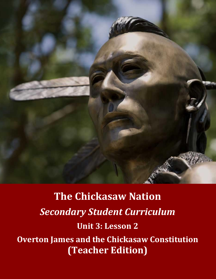

**The Chickasaw Nation** *Secondary Student Curriculum* **Unit 3: Lesson 2 Overton James and the Chickasaw Constitution (Teacher Edition)**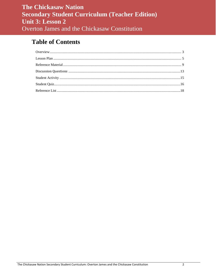# **Table of Contents**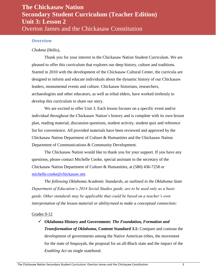#### <span id="page-2-0"></span>**Overview**

#### *Chokma* (Hello),

Thank you for your interest in the Chickasaw Nation Student Curriculum. We are pleased to offer this curriculum that explores our deep history, culture and traditions. Started in 2010 with the development of the Chickasaw Cultural Center, the curricula are designed to inform and educate individuals about the dynamic history of our Chickasaw leaders, monumental events and culture. Chickasaw historians, researchers, archaeologists and other educators, as well as tribal elders, have worked tirelessly to develop this curriculum to share our story.

We are excited to offer Unit 3. Each lesson focuses on a specific event and/or individual throughout the Chickasaw Nation's history and is complete with its own lesson plan, reading material, discussion questions, student activity, student quiz and reference list for convenience. All provided materials have been reviewed and approved by the Chickasaw Nation Department of Culture & Humanities and the Chickasaw Nation Department of Communications & Community Development.

The Chickasaw Nation would like to thank you for your support. If you have any questions, please contact Michelle Cooke, special assistant to the secretary of the Chickasaw Nation Department of Culture & Humanities, at (580) 436-7258 or [michelle.cooke@chickasaw.net.](mailto:michelle.cooke@chickasaw.net)

*The following Oklahoma Academic Standards, as outlined in the Oklahoma State Department of Education's 2014 Social Studies guide, are to be used only as a basic guide. Other standards may be applicable that could be based on a teacher's own interpretation of the lesson material or ability/need to make a conceptual connection:*

#### Grades 9-12

 **Oklahoma History and Government:** *The Foundation, Formation and Transformation of Oklahoma***, Content Standard 3.1:** Compare and contrast the development of governments among the Native American tribes, the movement for the state of Sequoyah, the proposal for an all-Black state and the impact of the *Enabling Act* on single statehood.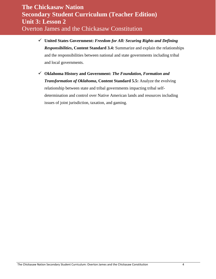- **United States Government:** *Freedom for All: Securing Rights and Defining Responsibilities***, Content Standard 3.4:** Summarize and explain the relationships and the responsibilities between national and state governments including tribal and local governments.
- **Oklahoma History and Government:** *The Foundation, Formation and Transformation of Oklahoma***, Content Standard 5.5:** Analyze the evolving relationship between state and tribal governments impacting tribal selfdetermination and control over Native American lands and resources including issues of joint jurisdiction, taxation, and gaming.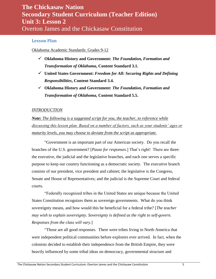### <span id="page-4-0"></span>**Lesson Plan**

#### Oklahoma Academic Standards: Grades 9-12

- **Oklahoma History and Government:** *The Foundation, Formation and Transformation of Oklahoma***, Content Standard 3.1.**
- **United States Government:** *Freedom for All: Securing Rights and Defining Responsibilities***, Content Standard 3.4.**
- **Oklahoma History and Government:** *The Foundation, Formation and Transformation of Oklahoma***, Content Standard 5.5.**

#### *INTRODUCTION*

*Note: The following is a suggested script for you, the teacher, to reference while discussing this lesson plan. Based on a number of factors, such as your students' ages or maturity levels, you may choose to deviate from the script as appropriate.*

"Government is an important part of our American society. Do you recall the branches of the U.S. government? [*Pause for responses*.] That's right! There are three: the executive, the judicial and the legislative branches, and each one serves a specific purpose to keep our country functioning as a democratic society. The executive branch consists of our president, vice president and cabinet; the legislative is the Congress, Senate and House of Representatives; and the judicial is the Supreme Court and federal courts.

"Federally recognized tribes in the United States are unique because the United States Constitution recognizes them as sovereign governments. What do you think sovereignty means, and how would this be beneficial for a federal tribe? [*The teacher may wish to explain sovereignty. Sovereignty is defined as the right to self-govern. Responses from the class will vary.*]

"Those are all good responses. There were tribes living in North America that were independent political communities before explorers ever arrived. In fact, when the colonists decided to establish their independence from the British Empire, they were heavily influenced by some tribal ideas on democracy, governmental structure and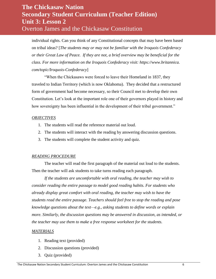individual rights. Can you think of any Constitutional concepts that may have been based on tribal ideas? [*The students may or may not be familiar with the Iroquois Confederacy or their Great Law of Peace. If they are not, a brief overview may be beneficial for the class. For more information on the Iroquois Confederacy visit: https://www.britannica. com/topic/Iroquois-Confederacy*]

"When the Chickasaws were forced to leave their Homeland in 1837, they traveled to Indian Territory (which is now Oklahoma). They decided that a restructured form of government had become necessary, so their Council met to develop their own Constitution. Let's look at the important role one of their governors played in history and how sovereignty has been influential in the development of their tribal government."

#### *OBJECTIVES*

- 1. The students will read the reference material out loud.
- 2. The students will interact with the reading by answering discussion questions.
- 3. The students will complete the student activity and quiz.

#### *READING PROCEDURE*

The teacher will read the first paragraph of the material out loud to the students. Then the teacher will ask students to take turns reading each paragraph.

*If the students are uncomfortable with oral reading, the teacher may wish to consider reading the entire passage to model good reading habits. For students who already display great comfort with oral reading, the teacher may wish to have the students read the entire passage. Teachers should feel free to stop the reading and pose knowledge questions about the text—e.g., asking students to define words or explain more. Similarly, the discussion questions may be answered in discussion, as intended, or the teacher may use them to make a free response worksheet for the students.*

#### *MATERIALS*

- 1. Reading text (provided)
- 2. Discussion questions (provided)
- 3. Quiz (provided)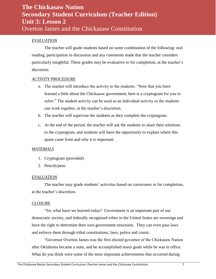### *EVALUATION*

The teacher will grade students based on some combination of the following: oral reading, participation in discussion and any comments made that the teacher considers particularly insightful. These grades may be evaluative or for completion, at the teacher's discretion.

#### *ACTIVITY PROCEDURE*

- a. The teacher will introduce the activity to the students: "Now that you have learned a little about the Chickasaw government, here is a cryptogram for you to solve." The student activity can be used as an individual activity or the students can work together, at the teacher's discretion.
- b. The teacher will supervise the students as they complete the cryptogram.
- c. At the end of the period, the teacher will ask the students to share their solutions to the cryptogram, and students will have the opportunity to explain where this quote came from and why it is important.

#### *MATERIALS*

- 1. Cryptogram (provided)
- 2. Pencils/pens

#### *EVALUATION*

The teacher may grade students' activities based on correctness or for completion, at the teacher's discretion.

#### *CLOSURE*

"So, what have we learned today? Government is an important part of our democratic society, and federally recognized tribes in the United States are sovereign and have the right to determine their own government structures. They can even pass laws and enforce them through tribal constitutions, laws, police and courts.

"Governor Overton James was the first elected governor of the Chickasaw Nation after Oklahoma became a state, and he accomplished many goals while he was in office. What do you think were some of the most important achievements that occurred during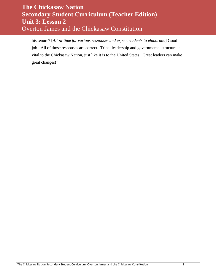his tenure? [*Allow time for various responses and expect students to elaborate*.] Good job! All of those responses are correct. Tribal leadership and governmental structure is vital to the Chickasaw Nation, just like it is to the United States. Great leaders can make great changes!"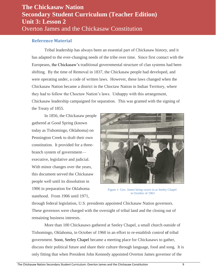### <span id="page-8-0"></span>**Reference Material**

Tribal leadership has always been an essential part of Chickasaw history, and it has adapted to the ever-changing needs of the tribe over time. Since first contact with the Europeans, the Chickasaw's traditional governmental structure of clan systems had been shifting. By the time of Removal in 1837, the Chickasaw people had developed, and were operating under, a code of written laws. However, these laws changed when the Chickasaw Nation became a district in the Choctaw Nation in Indian Territory, where they had to follow the Choctaw Nation's laws. Unhappy with this arrangement, Chickasaw leadership campaigned for separation. This was granted with the signing of the Treaty of 1855.

In 1856, the Chickasaw people gathered at Good Spring (known today as Tishomingo, Oklahoma) on Pennington Creek to draft their own constitution. It provided for a threebranch system of government executive, legislative and judicial. With minor changes over the years, this document served the Chickasaw people well until its dissolution in 1906 in preparation for Oklahoma statehood. From 1906 until 1971,



Figure 1: Gov. James being sworn in at Seeley Chapel in October of 1963

through federal legislation, U.S. presidents appointed Chickasaw Nation governors. These governors were charged with the oversight of tribal land and the closing out of remaining business interests.

More than 100 Chickasaws gathered at Seeley Chapel, a small church outside of Tishomingo, Oklahoma, in October of 1960 in an effort to re-establish control of tribal government. Soon, Seeley Chapel became a meeting place for Chickasaws to gather, discuss their political future and share their culture through language, food and song. It is only fitting that when President John Kennedy appointed Overton James governor of the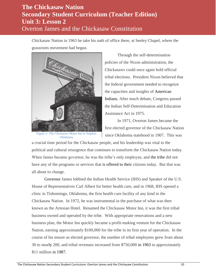Chickasaw Nation in 1963 he take his oath of office there, at Seeley Chapel, where the grassroots movement had begun.



Figure 2: The Chickasaw Motor Inn in Sulphur, Oklahoma.

Through the self-determination policies of the Nixon administration, the Chickasaws could once again hold official tribal elections. President Nixon believed that the federal government needed to recognize the capacities and insights of American Indians. After much debate, Congress passed the Indian Self-Determination and Education Assistance Act in 1975.

In 1971, Overton James became the first elected governor of the Chickasaw Nation since Oklahoma statehood in 1907. This was

a crucial time period for the Chickasaw people, and his leadership was vital to the political and cultural resurgence that continues to transform the Chickasaw Nation today. When James became governor, he was the tribe's only employee, and the tribe did not have any of the programs or services that is offered to their citizens today. But that was all about to change.

Governor James lobbied the Indian Health Service (IHS) and Speaker of the U.S. House of Representatives Carl Albert for better health care, and in 1968, IHS opened a clinic in Tishomingo, Oklahoma, the first health care facility of any kind in the Chickasaw Nation. In 1972, he was instrumental in the purchase of what was then known as the Artesian Hotel. Renamed the Chickasaw Motor Inn, it was the first tribal business owned and operated by the tribe. With appropriate renovations and a new business plan, the Motor Inn quickly became a profit-making venture for the Chickasaw Nation, earning approximately \$100,000 for the tribe in its first year of operation. In the course of his tenure as elected governor, the number of tribal employees grew from about 30 to nearly 200, and tribal revenues increased from \$750,000 in 1963 to approximately \$11 million in 1987.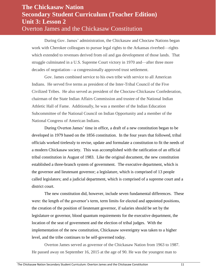During Gov. James' administration, the Chickasaw and Choctaw Nations began work with Cherokee colleagues to pursue legal rights to the Arkansas riverbed—rights which extended to revenues derived from oil and gas development of those lands. That struggle culminated in a U.S. Supreme Court victory in 1970 and—after three more decades of negotiation—a congressionally approved trust settlement.

Gov. James combined service to his own tribe with service to all American Indians. He served five terms as president of the Inter-Tribal Council of the Five Civilized Tribes. He also served as president of the Choctaw-Chickasaw Confederation, chairman of the State Indian Affairs Commission and trustee of the National Indian Athletic Hall of Fame. Additionally, he was a member of the Indian Education Subcommittee of the National Council on Indian Opportunity and a member of the National Congress of American Indians.

During Overton James' time in office, a draft of a new constitution began to be developed in 1979 based on the 1856 constitution. In the four years that followed, tribal officials worked tirelessly to revise, update and formulate a constitution to fit the needs of a modern Chickasaw society. This was accomplished with the ratification of an official tribal constitution in August of 1983. Like the original document, the new constitution established a three-branch system of government. The executive department, which is the governor and lieutenant governor; a legislature, which is comprised of 13 people called legislators; and a judicial department, which is comprised of a supreme court and a district court.

The new constitution did, however, include seven fundamental differences. These were: the length of the governor's term, term limits for elected and appointed positions, the creation of the position of lieutenant governor, if salaries should be set by the legislature or governor, blood quantum requirements for the executive department, the location of the seat of government and the election of tribal judges. With the implementation of the new constitution, Chickasaw sovereignty was taken to a higher level, and the tribe continues to be self-governed today.

Overton James served as governor of the Chickasaw Nation from 1963 to 1987. He passed away on September 16, 2015 at the age of 90. He was the youngest man to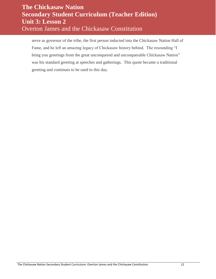serve as governor of the tribe, the first person inducted into the Chickasaw Nation Hall of Fame, and he left an amazing legacy of Chickasaw history behind. The resounding "I bring you greetings from the great unconquered and unconquerable Chickasaw Nation" was his standard greeting at speeches and gatherings. This quote became a traditional greeting and continues to be used to this day.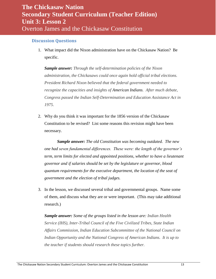### <span id="page-12-0"></span>**Discussion Questions**

1. What impact did the Nixon administration have on the Chickasaw Nation? Be specific.

*Sample answer: Through the self-determination policies of the Nixon administration, the Chickasaws could once again hold official tribal elections. President Richard Nixon believed that the federal government needed to recognize the capacities and insights of American Indians. After much debate, Congress passed the Indian Self-Determination and Education Assistance Act in 1975*.

2. Why do you think it was important for the 1856 version of the Chickasaw Constitution to be revised? List some reasons this revision might have been necessary.

*Sample answer: The old Constitution was becoming outdated. The new one had seven fundamental differences. These were: the length of the governor's term, term limits for elected and appointed positions, whether to have a lieutenant governor and if salaries should be set by the legislature or governor, blood quantum requirements for the executive department, the location of the seat of government and the election of tribal judges.*

3. In the lesson, we discussed several tribal and governmental groups. Name some of them, and discuss what they are or were important. (This may take additional research.)

*Sample answer: Some of the groups listed in the lesson are: Indian Health Service (IHS), Inter-Tribal Council of the Five Civilized Tribes, State Indian Affairs Commission, Indian Education Subcommittee of the National Council on Indian Opportunity and the National Congress of American Indians. It is up to the teacher if students should research these topics further.*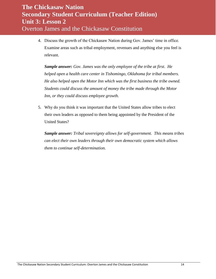4. Discuss the growth of the Chickasaw Nation during Gov. James' time in office. Examine areas such as tribal employment, revenues and anything else you feel is relevant.

*Sample answer: Gov. James was the only employee of the tribe at first. He helped open a health care center in Tishomingo, Oklahoma for tribal members. He also helped open the Motor Inn which was the first business the tribe owned. Students could discuss the amount of money the tribe made through the Motor Inn, or they could discuss employee growth.* 

5. Why do you think it was important that the United States allow tribes to elect their own leaders as opposed to them being appointed by the President of the United States?

*Sample answer: Tribal sovereignty allows for self-government. This means tribes can elect their own leaders through their own democratic system which allows them to continue self-determination.*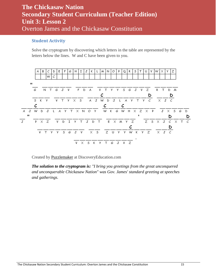### <span id="page-14-0"></span>**Student Activity**

Solve the cryptogram by discovering which letters in the table are represented by the letters below the lines. W and C have been given to you.



Created by [Puzzlemaker](http://puzzlemaker.discoveryeducation.com/) at DiscoveryEducation.com

*The solution to the cryptogram is: "I bring you greetings from the great unconquered and unconquerable Chickasaw Nation" was Gov. James' standard greeting at speeches and gatherings.*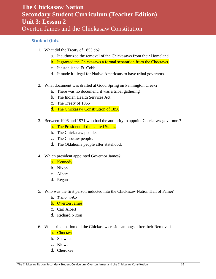### <span id="page-15-0"></span>**Student Quiz**

- 1. What did the Treaty of 1855 do?
	- a. It authorized the removal of the Chickasaws from their Homeland.
	- b. It granted the Chickasaws a formal separation from the Choctaws.
	- c. It established Ft. Cobb.
	- d. It made it illegal for Native Americans to have tribal governors.
- 2. What document was drafted at Good Spring on Pennington Creek?
	- a. There was no document, it was a tribal gathering
	- b. The Indian Health Services Act
	- c. The Treaty of 1855
	- d. The Chickasaw Constitution of 1856
- 3. Between 1906 and 1971 who had the authority to appoint Chickasaw governors?
	- a. The President of the United States.
	- b. The Chickasaw people.
	- c. The Choctaw people.
	- d. The Oklahoma people after statehood.
- 4. Which president appointed Governor James?
	- a. Kennedy
		- b. Nixon
		- c. Albert
		- d. Regan
- 5. Who was the first person inducted into the Chickasaw Nation Hall of Fame?
	- a. *Tishominko*
	- b. Overton James
	- c. Carl Albert
	- d. Richard Nixon
- 6. What tribal nation did the Chickasaws reside amongst after their Removal?
	- a. Choctaw
	- b. Shawnee
	- c. Kiowa
	- d. Cherokee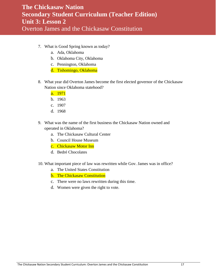- 7. What is Good Spring known as today?
	- a. Ada, Oklahoma
	- b. Oklahoma City, Oklahoma
	- c. Pennington, Oklahoma
	- d. Tishomingo, Oklahoma
- 8. What year did Overton James become the first elected governor of the Chickasaw Nation since Oklahoma statehood?
	- a. 1971
	- b. 1963
	- c. 1907
	- d. 1968
- 9. What was the name of the first business the Chickasaw Nation owned and operated in Oklahoma?
	- a. The Chickasaw Cultural Center
	- b. Council House Museum
	- c. Chickasaw Motor Inn
	- d. Bedré Chocolates
- 10. What important piece of law was rewritten while Gov. James was in office?
	- a. The United States Constitution
	- b. The Chickasaw Constitution
	- c. There were no laws rewritten during this time.
	- d. Women were given the right to vote.